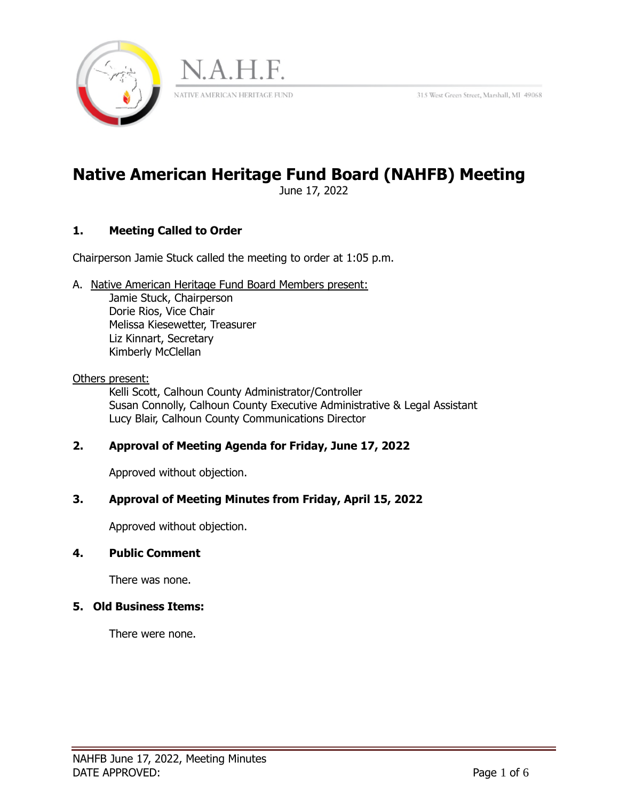315 West Green Street, Marshall, MI 49068





# **Native American Heritage Fund Board (NAHFB) Meeting**

June 17, 2022

# **1. Meeting Called to Order**

Chairperson Jamie Stuck called the meeting to order at 1:05 p.m.

A. Native American Heritage Fund Board Members present:

 Jamie Stuck, Chairperson Dorie Rios, Vice Chair Melissa Kiesewetter, Treasurer Liz Kinnart, Secretary Kimberly McClellan

#### Others present:

Kelli Scott, Calhoun County Administrator/Controller Susan Connolly, Calhoun County Executive Administrative & Legal Assistant Lucy Blair, Calhoun County Communications Director

## **2. Approval of Meeting Agenda for Friday, June 17, 2022**

Approved without objection.

## **3. Approval of Meeting Minutes from Friday, April 15, 2022**

Approved without objection.

## **4. Public Comment**

There was none.

## **5. Old Business Items:**

There were none.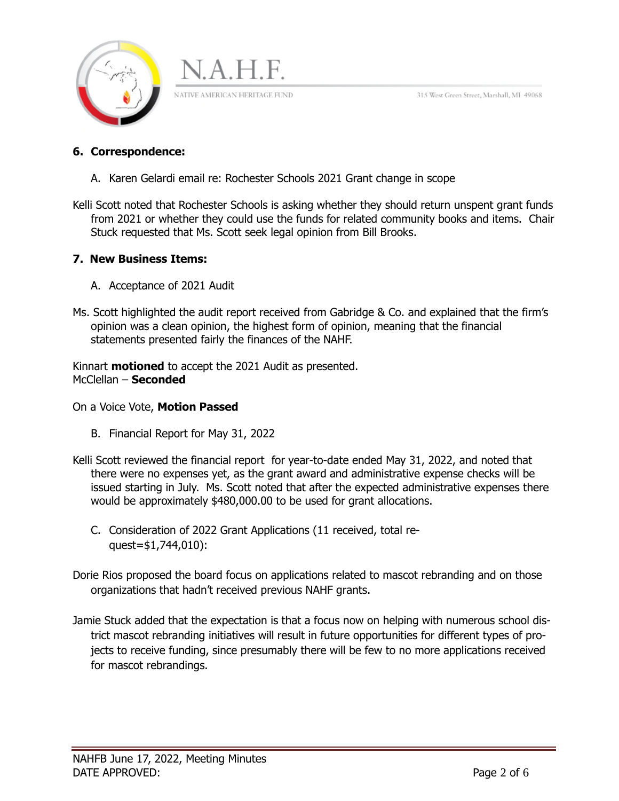315 West Green Street, Marshall, MI 49068





A. Karen Gelardi email re: Rochester Schools 2021 Grant change in scope

J.A.H.F.

NATIVE AMERICAN HERITAGE FUND

Kelli Scott noted that Rochester Schools is asking whether they should return unspent grant funds from 2021 or whether they could use the funds for related community books and items. Chair Stuck requested that Ms. Scott seek legal opinion from Bill Brooks.

## **7. New Business Items:**

- A. Acceptance of 2021 Audit
- Ms. Scott highlighted the audit report received from Gabridge & Co. and explained that the firm's opinion was a clean opinion, the highest form of opinion, meaning that the financial statements presented fairly the finances of the NAHF.

Kinnart **motioned** to accept the 2021 Audit as presented. McClellan – **Seconded** 

On a Voice Vote, **Motion Passed** 

- B. Financial Report for May 31, 2022
- Kelli Scott reviewed the financial report for year-to-date ended May 31, 2022, and noted that there were no expenses yet, as the grant award and administrative expense checks will be issued starting in July. Ms. Scott noted that after the expected administrative expenses there would be approximately \$480,000.00 to be used for grant allocations.
	- C. Consideration of 2022 Grant Applications (11 received, total request=\$1,744,010):
- Dorie Rios proposed the board focus on applications related to mascot rebranding and on those organizations that hadn't received previous NAHF grants.
- Jamie Stuck added that the expectation is that a focus now on helping with numerous school district mascot rebranding initiatives will result in future opportunities for different types of projects to receive funding, since presumably there will be few to no more applications received for mascot rebrandings.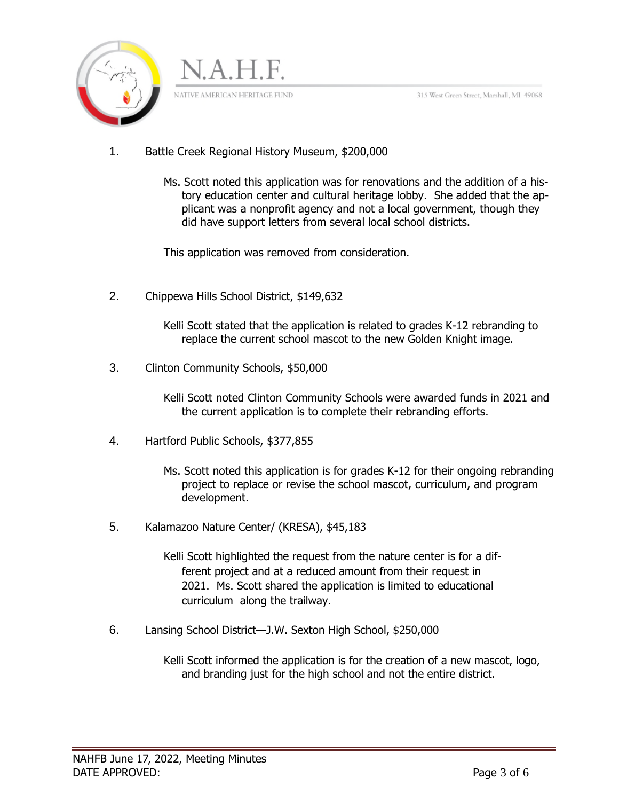315 West Green Street, Marshall, MI 49068



- 1. Battle Creek Regional History Museum, \$200,000
	- Ms. Scott noted this application was for renovations and the addition of a history education center and cultural heritage lobby. She added that the applicant was a nonprofit agency and not a local government, though they did have support letters from several local school districts.

This application was removed from consideration.

2. Chippewa Hills School District, \$149,632

Kelli Scott stated that the application is related to grades K-12 rebranding to replace the current school mascot to the new Golden Knight image.

3. Clinton Community Schools, \$50,000

Kelli Scott noted Clinton Community Schools were awarded funds in 2021 and the current application is to complete their rebranding efforts.

- 4. Hartford Public Schools, \$377,855
	- Ms. Scott noted this application is for grades K-12 for their ongoing rebranding project to replace or revise the school mascot, curriculum, and program development.
- 5. Kalamazoo Nature Center/ (KRESA), \$45,183

Kelli Scott highlighted the request from the nature center is for a different project and at a reduced amount from their request in 2021. Ms. Scott shared the application is limited to educational curriculum along the trailway.

6. Lansing School District—J.W. Sexton High School, \$250,000

Kelli Scott informed the application is for the creation of a new mascot, logo, and branding just for the high school and not the entire district.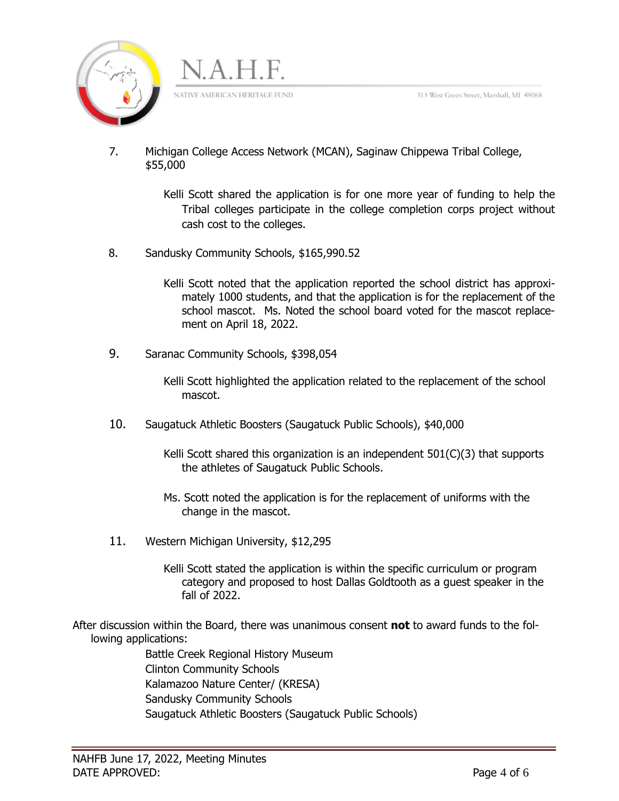



7. Michigan College Access Network (MCAN), Saginaw Chippewa Tribal College, \$55,000

> Kelli Scott shared the application is for one more year of funding to help the Tribal colleges participate in the college completion corps project without cash cost to the colleges.

8. Sandusky Community Schools, \$165,990.52

Kelli Scott noted that the application reported the school district has approximately 1000 students, and that the application is for the replacement of the school mascot. Ms. Noted the school board voted for the mascot replacement on April 18, 2022.

9. Saranac Community Schools, \$398,054

Kelli Scott highlighted the application related to the replacement of the school mascot.

10. Saugatuck Athletic Boosters (Saugatuck Public Schools), \$40,000

Kelli Scott shared this organization is an independent 501(C)(3) that supports the athletes of Saugatuck Public Schools.

- Ms. Scott noted the application is for the replacement of uniforms with the change in the mascot.
- 11. Western Michigan University, \$12,295

Kelli Scott stated the application is within the specific curriculum or program category and proposed to host Dallas Goldtooth as a guest speaker in the fall of 2022.

After discussion within the Board, there was unanimous consent **not** to award funds to the following applications:

Battle Creek Regional History Museum Clinton Community Schools Kalamazoo Nature Center/ (KRESA) Sandusky Community Schools Saugatuck Athletic Boosters (Saugatuck Public Schools)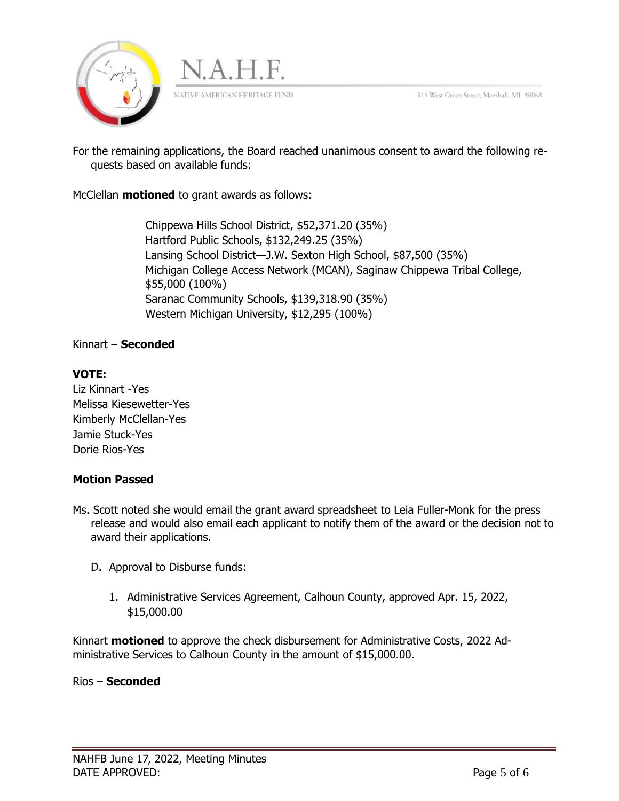



For the remaining applications, the Board reached unanimous consent to award the following requests based on available funds:

McClellan **motioned** to grant awards as follows:

Chippewa Hills School District, \$52,371.20 (35%) Hartford Public Schools, \$132,249.25 (35%) Lansing School District—J.W. Sexton High School, \$87,500 (35%) Michigan College Access Network (MCAN), Saginaw Chippewa Tribal College, \$55,000 (100%) Saranac Community Schools, \$139,318.90 (35%) Western Michigan University, \$12,295 (100%)

#### Kinnart – **Seconded**

## **VOTE:**

Liz Kinnart -Yes Melissa Kiesewetter-Yes Kimberly McClellan-Yes Jamie Stuck-Yes Dorie Rios-Yes

## **Motion Passed**

- Ms. Scott noted she would email the grant award spreadsheet to Leia Fuller-Monk for the press release and would also email each applicant to notify them of the award or the decision not to award their applications.
	- D. Approval to Disburse funds:
		- 1. Administrative Services Agreement, Calhoun County, approved Apr. 15, 2022, \$15,000.00

Kinnart **motioned** to approve the check disbursement for Administrative Costs, 2022 Administrative Services to Calhoun County in the amount of \$15,000.00.

Rios – **Seconded**